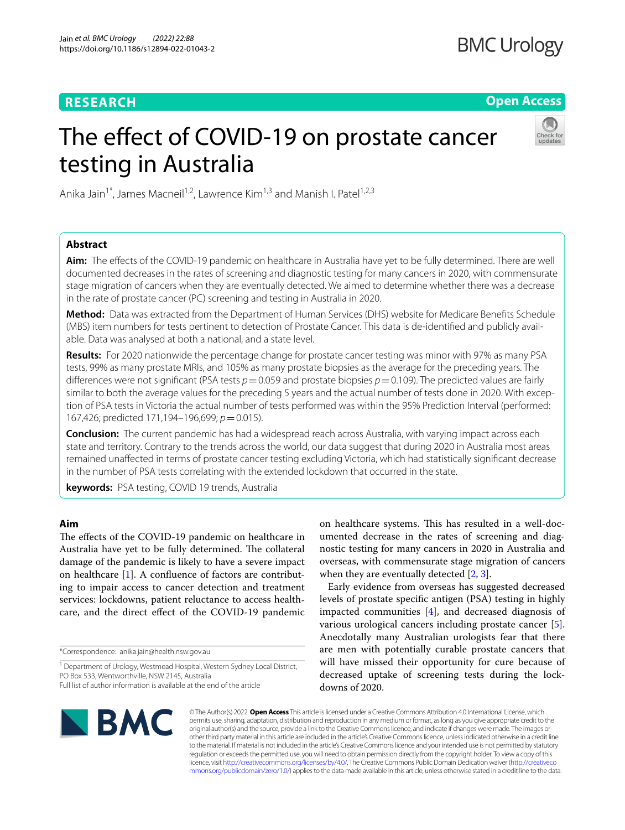# **RESEARCH**

**Open Access**

# The effect of COVID-19 on prostate cancer testing in Australia



Anika Jain<sup>1\*</sup>, James Macneil<sup>1,2</sup>, Lawrence Kim<sup>1,3</sup> and Manish I. Patel<sup>1,2,3</sup>

# **Abstract**

**Aim:** The efects of the COVID-19 pandemic on healthcare in Australia have yet to be fully determined. There are well documented decreases in the rates of screening and diagnostic testing for many cancers in 2020, with commensurate stage migration of cancers when they are eventually detected. We aimed to determine whether there was a decrease in the rate of prostate cancer (PC) screening and testing in Australia in 2020.

**Method:** Data was extracted from the Department of Human Services (DHS) website for Medicare Benefts Schedule (MBS) item numbers for tests pertinent to detection of Prostate Cancer. This data is de-identifed and publicly available. Data was analysed at both a national, and a state level.

**Results:** For 2020 nationwide the percentage change for prostate cancer testing was minor with 97% as many PSA tests, 99% as many prostate MRIs, and 105% as many prostate biopsies as the average for the preceding years. The differences were not significant (PSA tests  $p=0.059$  and prostate biopsies  $p=0.109$ ). The predicted values are fairly similar to both the average values for the preceding 5 years and the actual number of tests done in 2020. With exception of PSA tests in Victoria the actual number of tests performed was within the 95% Prediction Interval (performed: 167,426; predicted 171,194–196,699; *p*=0.015).

**Conclusion:** The current pandemic has had a widespread reach across Australia, with varying impact across each state and territory. Contrary to the trends across the world, our data suggest that during 2020 in Australia most areas remained unafected in terms of prostate cancer testing excluding Victoria, which had statistically signifcant decrease in the number of PSA tests correlating with the extended lockdown that occurred in the state.

**keywords:** PSA testing, COVID 19 trends, Australia

# **Aim**

The effects of the COVID-19 pandemic on healthcare in Australia have yet to be fully determined. The collateral damage of the pandemic is likely to have a severe impact on healthcare [\[1](#page-4-0)]. A confuence of factors are contributing to impair access to cancer detection and treatment services: lockdowns, patient reluctance to access healthcare, and the direct efect of the COVID-19 pandemic

\*Correspondence: anika.jain@health.nsw.gov.au

Early evidence from overseas has suggested decreased levels of prostate specifc antigen (PSA) testing in highly impacted communities [\[4](#page-4-3)], and decreased diagnosis of various urological cancers including prostate cancer [\[5](#page-4-4)]. Anecdotally many Australian urologists fear that there are men with potentially curable prostate cancers that will have missed their opportunity for cure because of decreased uptake of screening tests during the lockdowns of 2020.



© The Author(s) 2022. **Open Access** This article is licensed under a Creative Commons Attribution 4.0 International License, which permits use, sharing, adaptation, distribution and reproduction in any medium or format, as long as you give appropriate credit to the original author(s) and the source, provide a link to the Creative Commons licence, and indicate if changes were made. The images or other third party material in this article are included in the article's Creative Commons licence, unless indicated otherwise in a credit line to the material. If material is not included in the article's Creative Commons licence and your intended use is not permitted by statutory regulation or exceeds the permitted use, you will need to obtain permission directly from the copyright holder. To view a copy of this licence, visit [http://creativecommons.org/licenses/by/4.0/.](http://creativecommons.org/licenses/by/4.0/) The Creative Commons Public Domain Dedication waiver ([http://creativeco](http://creativecommons.org/publicdomain/zero/1.0/) [mmons.org/publicdomain/zero/1.0/](http://creativecommons.org/publicdomain/zero/1.0/)) applies to the data made available in this article, unless otherwise stated in a credit line to the data.

<sup>&</sup>lt;sup>1</sup> Department of Urology, Westmead Hospital, Western Sydney Local District, PO Box 533, Wentworthville, NSW 2145, Australia Full list of author information is available at the end of the article

on healthcare systems. This has resulted in a well-documented decrease in the rates of screening and diagnostic testing for many cancers in 2020 in Australia and overseas, with commensurate stage migration of cancers when they are eventually detected  $[2, 3]$  $[2, 3]$  $[2, 3]$  $[2, 3]$ .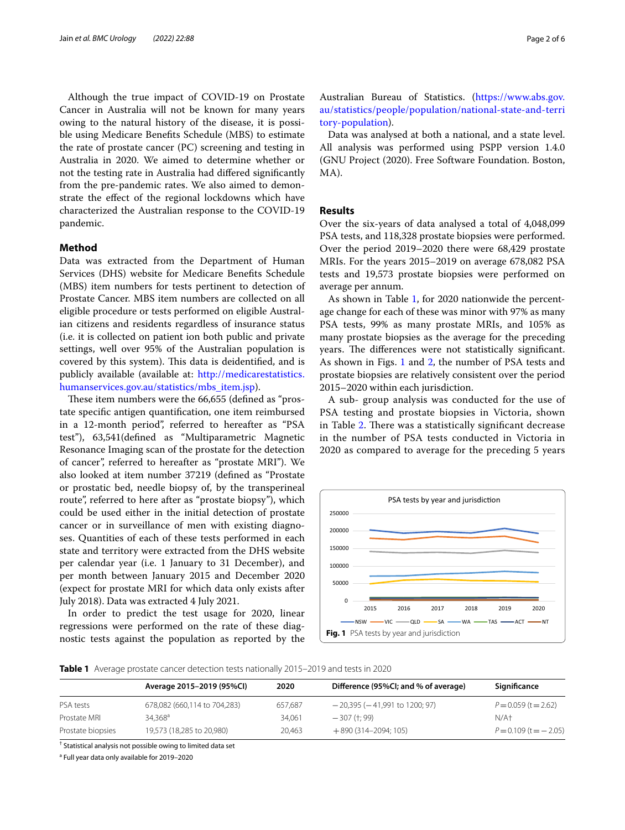Although the true impact of COVID-19 on Prostate Cancer in Australia will not be known for many years owing to the natural history of the disease, it is possible using Medicare Benefts Schedule (MBS) to estimate the rate of prostate cancer (PC) screening and testing in Australia in 2020. We aimed to determine whether or not the testing rate in Australia had difered signifcantly from the pre-pandemic rates. We also aimed to demonstrate the efect of the regional lockdowns which have characterized the Australian response to the COVID-19 pandemic.

## **Method**

Data was extracted from the Department of Human Services (DHS) website for Medicare Benefts Schedule (MBS) item numbers for tests pertinent to detection of Prostate Cancer. MBS item numbers are collected on all eligible procedure or tests performed on eligible Australian citizens and residents regardless of insurance status (i.e. it is collected on patient ion both public and private settings, well over 95% of the Australian population is covered by this system). This data is deidentified, and is publicly available (available at: [http://medicarestatistics.](http://medicarestatistics.humanservices.gov.au/statistics/mbs_item.jsp) [humanservices.gov.au/statistics/mbs\\_item.jsp\)](http://medicarestatistics.humanservices.gov.au/statistics/mbs_item.jsp).

These item numbers were the 66,655 (defined as "prostate specifc antigen quantifcation, one item reimbursed in a 12-month period", referred to hereafter as "PSA test"), 63,541(defned as "Multiparametric Magnetic Resonance Imaging scan of the prostate for the detection of cancer", referred to hereafter as "prostate MRI"). We also looked at item number 37219 (defned as "Prostate or prostatic bed, needle biopsy of, by the transperineal route", referred to here after as "prostate biopsy"), which could be used either in the initial detection of prostate cancer or in surveillance of men with existing diagnoses. Quantities of each of these tests performed in each state and territory were extracted from the DHS website per calendar year (i.e. 1 January to 31 December), and per month between January 2015 and December 2020 (expect for prostate MRI for which data only exists after July 2018). Data was extracted 4 July 2021.

In order to predict the test usage for 2020, linear regressions were performed on the rate of these diagnostic tests against the population as reported by the

Australian Bureau of Statistics. [\(https://www.abs.gov.](https://www.abs.gov.au/statistics/people/population/national-state-and-territory-population) [au/statistics/people/population/national-state-and-terri](https://www.abs.gov.au/statistics/people/population/national-state-and-territory-population) [tory-population](https://www.abs.gov.au/statistics/people/population/national-state-and-territory-population)).

Data was analysed at both a national, and a state level. All analysis was performed using PSPP version 1.4.0 (GNU Project (2020). Free Software Foundation. Boston, MA).

# **Results**

Over the six-years of data analysed a total of 4,048,099 PSA tests, and 118,328 prostate biopsies were performed. Over the period 2019–2020 there were 68,429 prostate MRIs. For the years 2015–2019 on average 678,082 PSA tests and 19,573 prostate biopsies were performed on average per annum.

As shown in Table [1](#page-1-0), for 2020 nationwide the percentage change for each of these was minor with 97% as many PSA tests, 99% as many prostate MRIs, and 105% as many prostate biopsies as the average for the preceding years. The differences were not statistically significant. As shown in Figs. [1](#page-1-1) and [2,](#page-2-0) the number of PSA tests and prostate biopsies are relatively consistent over the period 2015–2020 within each jurisdiction.

A sub- group analysis was conducted for the use of PSA testing and prostate biopsies in Victoria, shown in Table [2.](#page-2-1) There was a statistically significant decrease in the number of PSA tests conducted in Victoria in 2020 as compared to average for the preceding 5 years

<span id="page-1-1"></span>

<span id="page-1-0"></span>**Table 1** Average prostate cancer detection tests nationally 2015–2019 and tests in 2020

|                   | Average 2015-2019 (95%CI)    | 2020    | Difference (95%CI; and % of average) | Significance                |
|-------------------|------------------------------|---------|--------------------------------------|-----------------------------|
| PSA tests         | 678,082 (660,114 to 704,283) | 657.687 | $-20,395$ ( $-41,991$ to 1200; 97)   | $P = 0.059$ (t = 2.62)      |
| Prostate MRI      | $34.368^{\circ}$             | 34.061  | $-307$ (†: 99)                       | N/At                        |
| Prostate biopsies | 19,573 (18,285 to 20,980)    | 20.463  | $+890(314 - 2094; 105)$              | $P = 0.109$ (t = $- 2.05$ ) |

† Statistical analysis not possible owing to limited data set

<sup>a</sup> Full year data only available for 2019-2020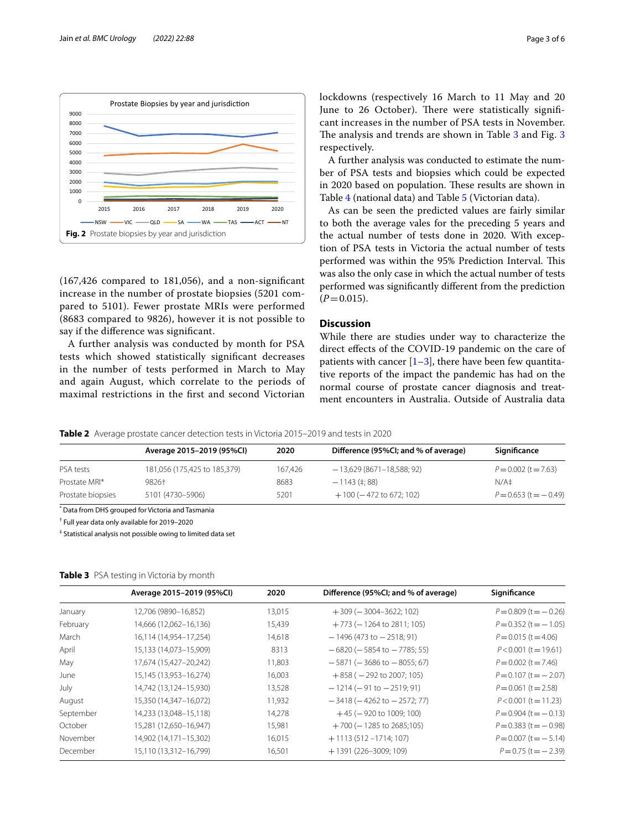

<span id="page-2-0"></span>(167,426 compared to 181,056), and a non-signifcant increase in the number of prostate biopsies (5201 compared to 5101). Fewer prostate MRIs were performed (8683 compared to 9826), however it is not possible to say if the diference was signifcant.

A further analysis was conducted by month for PSA tests which showed statistically signifcant decreases in the number of tests performed in March to May and again August, which correlate to the periods of maximal restrictions in the frst and second Victorian lockdowns (respectively 16 March to 11 May and 20 June to 26 October). There were statistically significant increases in the number of PSA tests in November. The analysis and trends are shown in Table [3](#page-3-0) and Fig. 3 respectively.

A further analysis was conducted to estimate the number of PSA tests and biopsies which could be expected in 2020 based on population. These results are shown in Table [4](#page-3-1) (national data) and Table [5](#page-3-2) (Victorian data).

As can be seen the predicted values are fairly similar to both the average vales for the preceding 5 years and the actual number of tests done in 2020. With exception of PSA tests in Victoria the actual number of tests performed was within the 95% Prediction Interval. This was also the only case in which the actual number of tests performed was signifcantly diferent from the prediction  $(P=0.015)$ .

# **Discussion**

While there are studies under way to characterize the direct efects of the COVID-19 pandemic on the care of patients with cancer  $[1-3]$  $[1-3]$ , there have been few quantitative reports of the impact the pandemic has had on the normal course of prostate cancer diagnosis and treatment encounters in Australia. Outside of Australia data

<span id="page-2-1"></span>**Table 2** Average prostate cancer detection tests in Victoria 2015–2019 and tests in 2020

|                   | Average 2015-2019 (95%CI)    | 2020    | Difference (95%CI; and % of average) | Significance               |  |  |
|-------------------|------------------------------|---------|--------------------------------------|----------------------------|--|--|
| PSA tests         | 181,056 (175,425 to 185,379) | 167.426 | $-13,629(8671-18,588; 92)$           | $P = 0.002$ (t = 7.63)     |  |  |
| Prostate MRI*     | 9826+                        | 8683    | $-1143$ (‡: 88)                      | $N/A$ ‡                    |  |  |
| Prostate biopsies | 5101 (4730-5906)             | 5201    | $+100$ ( $-472$ to 672; 102)         | $P = 0.653$ (t = $-0.49$ ) |  |  |

\* Data from DHS grouped for Victoria and Tasmania

† Full year data only available for 2019–2020

‡ Statistical analysis not possible owing to limited data set

## <span id="page-2-2"></span>**Table 3** PSA testing in Victoria by month

| Average 2015-2019 (95%CI) | 2020   | Difference (95%CI; and % of average) | Significance                |
|---------------------------|--------|--------------------------------------|-----------------------------|
| 12,706 (9890-16,852)      | 13,015 | $+309$ ( $-3004-3622$ ; 102)         | $P = 0.809$ (t = $- 0.26$ ) |
| 14,666 (12,062-16,136)    | 15,439 | $+773$ (-1264 to 2811; 105)          | $P = 0.352$ (t = -1.05)     |
| 16,114 (14,954-17,254)    | 14,618 | $-1496(473 to -2518; 91)$            | $P = 0.015$ (t = 4.06)      |
| 15,133 (14,073-15,909)    | 8313   | $-6820$ ( $-5854$ to $-7785$ ; 55)   | $P < 0.001$ (t = 19.61)     |
| 17,674 (15,427-20,242)    | 11,803 | $-5871$ ( $-3686$ to $-8055$ ; 67)   | $P = 0.002$ (t = 7.46)      |
| 15,145 (13,953-16,274)    | 16,003 | $+858$ ( $-292$ to 2007: 105)        | $P = 0.107$ (t = $- 2.07$ ) |
| 14,742 (13,124-15,930)    | 13,528 | $-1214$ ( $-91$ to $-2519$ ; 91)     | $P = 0.061$ (t = 2.58)      |
| 15,350 (14,347-16,072)    | 11,932 | $-3418$ ( $-4262$ to $-2572$ ; 77)   | $P < 0.001$ (t = 11.23)     |
| 14,233 (13,048-15,118)    | 14,278 | $+45$ ( $-920$ to 1009; 100)         | $P = 0.904$ (t = $-0.13$ )  |
| 15,281 (12,650-16,947)    | 15,981 | $+700$ ( $-1285$ to 2685;105)        | $P = 0.383$ (t = $-0.98$ )  |
| 14,902 (14,171-15,302)    | 16,015 | $+1113(512 - 1714; 107)$             | $P = 0.007$ (t = -5.14)     |
| 15,110 (13,312-16,799)    | 16,501 | $+1391(226-3009;109)$                | $P = 0.75$ (t = -2.39)      |
|                           |        |                                      |                             |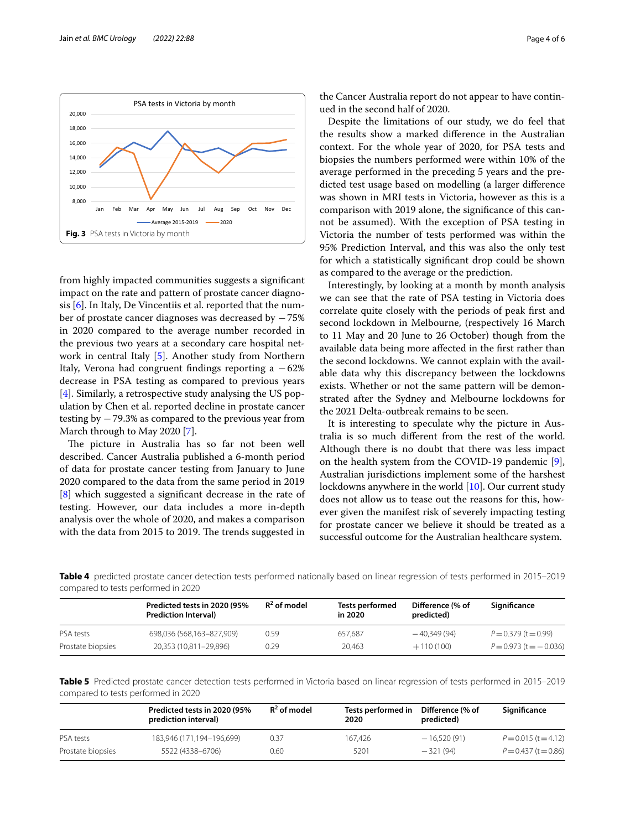

<span id="page-3-0"></span>from highly impacted communities suggests a signifcant impact on the rate and pattern of prostate cancer diagnosis [\[6](#page-5-0)]. In Italy, De Vincentiis et al. reported that the number of prostate cancer diagnoses was decreased by −75% in 2020 compared to the average number recorded in the previous two years at a secondary care hospital network in central Italy [[5\]](#page-4-4). Another study from Northern Italy, Verona had congruent findings reporting a  $-62\%$ decrease in PSA testing as compared to previous years [[4\]](#page-4-3). Similarly, a retrospective study analysing the US population by Chen et al. reported decline in prostate cancer testing by −79.3% as compared to the previous year from March through to May 2020 [\[7](#page-5-1)].

The picture in Australia has so far not been well described. Cancer Australia published a 6-month period of data for prostate cancer testing from January to June 2020 compared to the data from the same period in 2019 [[8\]](#page-5-2) which suggested a signifcant decrease in the rate of testing. However, our data includes a more in-depth analysis over the whole of 2020, and makes a comparison with the data from 2015 to 2019. The trends suggested in the Cancer Australia report do not appear to have continued in the second half of 2020.

Despite the limitations of our study, we do feel that the results show a marked diference in the Australian context. For the whole year of 2020, for PSA tests and biopsies the numbers performed were within 10% of the average performed in the preceding 5 years and the predicted test usage based on modelling (a larger diference was shown in MRI tests in Victoria, however as this is a comparison with 2019 alone, the signifcance of this cannot be assumed). With the exception of PSA testing in Victoria the number of tests performed was within the 95% Prediction Interval, and this was also the only test for which a statistically signifcant drop could be shown as compared to the average or the prediction.

Interestingly, by looking at a month by month analysis we can see that the rate of PSA testing in Victoria does correlate quite closely with the periods of peak frst and second lockdown in Melbourne, (respectively 16 March to 11 May and 20 June to 26 October) though from the available data being more afected in the frst rather than the second lockdowns. We cannot explain with the available data why this discrepancy between the lockdowns exists. Whether or not the same pattern will be demonstrated after the Sydney and Melbourne lockdowns for the 2021 Delta-outbreak remains to be seen.

It is interesting to speculate why the picture in Australia is so much diferent from the rest of the world. Although there is no doubt that there was less impact on the health system from the COVID-19 pandemic [\[9](#page-5-3)], Australian jurisdictions implement some of the harshest lockdowns anywhere in the world [\[10\]](#page-5-4). Our current study does not allow us to tease out the reasons for this, however given the manifest risk of severely impacting testing for prostate cancer we believe it should be treated as a successful outcome for the Australian healthcare system.

<span id="page-3-1"></span>**Table 4** predicted prostate cancer detection tests performed nationally based on linear regression of tests performed in 2015–2019 compared to tests performed in 2020

|                   | Predicted tests in 2020 (95%<br><b>Prediction Interval</b> | $R^2$ of model | Tests performed<br>in 2020 | Difference (% of<br>predicted) | Significance                 |
|-------------------|------------------------------------------------------------|----------------|----------------------------|--------------------------------|------------------------------|
| PSA tests         | 698,036 (568,163-827,909)                                  | 0.59           | 657.687                    | $-40.349(94)$                  | $P = 0.379$ (t = 0.99)       |
| Prostate biopsies | 20,353 (10,811-29,896)                                     | 0.29           | 20.463                     | $+110(100)$                    | $P = 0.973$ (t = $- 0.036$ ) |

<span id="page-3-2"></span>**Table 5** Predicted prostate cancer detection tests performed in Victoria based on linear regression of tests performed in 2015–2019 compared to tests performed in 2020

|                   | Predicted tests in 2020 (95%<br>prediction interval) | $R^2$ of model | Tests performed in<br>2020 | Difference (% of<br>predicted) | Significance           |
|-------------------|------------------------------------------------------|----------------|----------------------------|--------------------------------|------------------------|
| PSA tests         | 183.946 (171.194-196.699)                            | 0.37           | 167.426                    | $-16.520(91)$                  | $P = 0.015$ (t = 4.12) |
| Prostate biopsies | 5522 (4338-6706)                                     | 0.60           | 5201                       | $-321(94)$                     | $P = 0.437$ (t = 0.86) |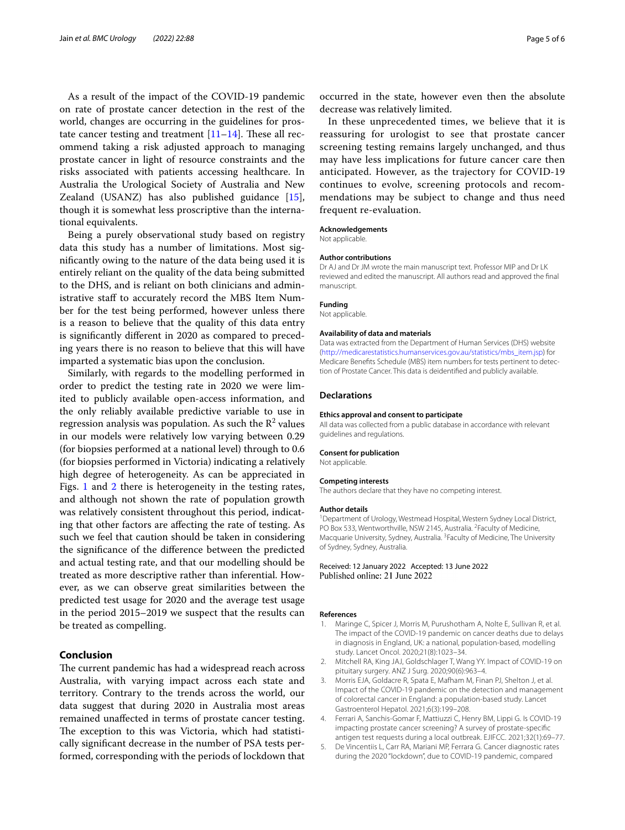As a result of the impact of the COVID-19 pandemic on rate of prostate cancer detection in the rest of the world, changes are occurring in the guidelines for prostate cancer testing and treatment  $[11-14]$  $[11-14]$  $[11-14]$ . These all recommend taking a risk adjusted approach to managing prostate cancer in light of resource constraints and the risks associated with patients accessing healthcare. In Australia the Urological Society of Australia and New Zealand (USANZ) has also published guidance [\[15](#page-5-7)], though it is somewhat less proscriptive than the international equivalents.

Being a purely observational study based on registry data this study has a number of limitations. Most signifcantly owing to the nature of the data being used it is entirely reliant on the quality of the data being submitted to the DHS, and is reliant on both clinicians and administrative staff to accurately record the MBS Item Number for the test being performed, however unless there is a reason to believe that the quality of this data entry is signifcantly diferent in 2020 as compared to preceding years there is no reason to believe that this will have imparted a systematic bias upon the conclusion.

Similarly, with regards to the modelling performed in order to predict the testing rate in 2020 we were limited to publicly available open-access information, and the only reliably available predictive variable to use in regression analysis was population. As such the  $\mathbb{R}^2$  values in our models were relatively low varying between 0.29 (for biopsies performed at a national level) through to 0.6 (for biopsies performed in Victoria) indicating a relatively high degree of heterogeneity. As can be appreciated in Figs. [1](#page-1-1) and [2](#page-2-0) there is heterogeneity in the testing rates, and although not shown the rate of population growth was relatively consistent throughout this period, indicating that other factors are afecting the rate of testing. As such we feel that caution should be taken in considering the signifcance of the diference between the predicted and actual testing rate, and that our modelling should be treated as more descriptive rather than inferential. However, as we can observe great similarities between the predicted test usage for 2020 and the average test usage in the period 2015–2019 we suspect that the results can be treated as compelling.

# **Conclusion**

The current pandemic has had a widespread reach across Australia, with varying impact across each state and territory. Contrary to the trends across the world, our data suggest that during 2020 in Australia most areas remained unafected in terms of prostate cancer testing. The exception to this was Victoria, which had statistically signifcant decrease in the number of PSA tests performed, corresponding with the periods of lockdown that

occurred in the state, however even then the absolute decrease was relatively limited.

In these unprecedented times, we believe that it is reassuring for urologist to see that prostate cancer screening testing remains largely unchanged, and thus may have less implications for future cancer care then anticipated. However, as the trajectory for COVID-19 continues to evolve, screening protocols and recommendations may be subject to change and thus need frequent re-evaluation.

#### **Acknowledgements**

Not applicable.

#### **Author contributions**

Dr AJ and Dr JM wrote the main manuscript text. Professor MIP and Dr LK reviewed and edited the manuscript. All authors read and approved the fnal manuscript.

## **Funding**

Not applicable.

#### **Availability of data and materials**

Data was extracted from the Department of Human Services (DHS) website ([http://medicarestatistics.humanservices.gov.au/statistics/mbs\\_item.jsp\)](http://medicarestatistics.humanservices.gov.au/statistics/mbs_item.jsp) for Medicare Benefts Schedule (MBS) item numbers for tests pertinent to detection of Prostate Cancer. This data is deidentifed and publicly available.

#### **Declarations**

#### **Ethics approval and consent to participate**

All data was collected from a public database in accordance with relevant guidelines and regulations.

#### **Consent for publication**

Not applicable.

#### **Competing interests**

The authors declare that they have no competing interest.

#### **Author details**

<sup>1</sup> Department of Urology, Westmead Hospital, Western Sydney Local District, PO Box 533, Wentworthville, NSW 2145, Australia. <sup>2</sup> Faculty of Medicine, Macquarie University, Sydney, Australia.<sup>3</sup> Faculty of Medicine, The University of Sydney, Sydney, Australia.

#### Received: 12 January 2022 Accepted: 13 June 2022 Published online: 21 June 2022

#### **References**

- <span id="page-4-0"></span>1. Maringe C, Spicer J, Morris M, Purushotham A, Nolte E, Sullivan R, et al. The impact of the COVID-19 pandemic on cancer deaths due to delays in diagnosis in England, UK: a national, population-based, modelling study. Lancet Oncol. 2020;21(8):1023–34.
- <span id="page-4-1"></span>2. Mitchell RA, King JAJ, Goldschlager T, Wang YY. Impact of COVID-19 on pituitary surgery. ANZ J Surg. 2020;90(6):963–4.
- <span id="page-4-2"></span>3. Morris EJA, Goldacre R, Spata E, Mafham M, Finan PJ, Shelton J, et al. Impact of the COVID-19 pandemic on the detection and management of colorectal cancer in England: a population-based study. Lancet Gastroenterol Hepatol. 2021;6(3):199–208.
- <span id="page-4-3"></span>4. Ferrari A, Sanchis-Gomar F, Mattiuzzi C, Henry BM, Lippi G. Is COVID-19 impacting prostate cancer screening? A survey of prostate-specifc antigen test requests during a local outbreak. EJIFCC. 2021;32(1):69–77.
- <span id="page-4-4"></span>5. De Vincentiis L, Carr RA, Mariani MP, Ferrara G. Cancer diagnostic rates during the 2020 "lockdown", due to COVID-19 pandemic, compared